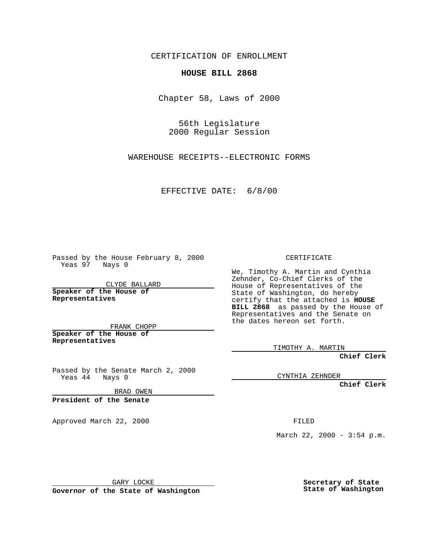CERTIFICATION OF ENROLLMENT

## **HOUSE BILL 2868**

Chapter 58, Laws of 2000

56th Legislature 2000 Regular Session

WAREHOUSE RECEIPTS--ELECTRONIC FORMS

EFFECTIVE DATE: 6/8/00

Passed by the House February 8, 2000 Yeas 97 Nays 0

CLYDE BALLARD **Speaker of the House of Representatives**

FRANK CHOPP **Speaker of the House of**

**Representatives**

Passed by the Senate March 2, 2000 Yeas 44 Nays 0

BRAD OWEN

**President of the Senate**

Approved March 22, 2000 FILED

CERTIFICATE

We, Timothy A. Martin and Cynthia Zehnder, Co-Chief Clerks of the House of Representatives of the State of Washington, do hereby certify that the attached is **HOUSE BILL 2868** as passed by the House of Representatives and the Senate on the dates hereon set forth.

TIMOTHY A. MARTIN

**Chief Clerk**

CYNTHIA ZEHNDER

**Chief Clerk**

March 22, 2000 - 3:54 p.m.

GARY LOCKE

**Governor of the State of Washington**

**Secretary of State State of Washington**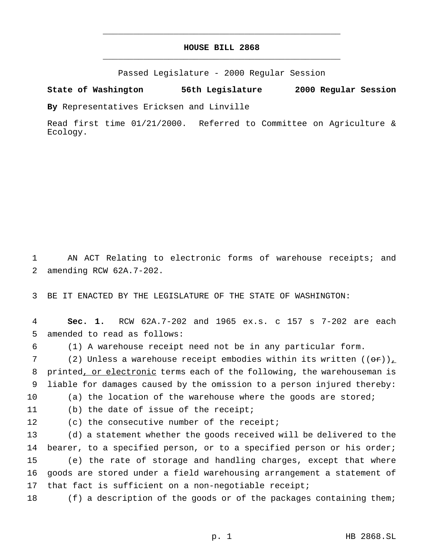## **HOUSE BILL 2868** \_\_\_\_\_\_\_\_\_\_\_\_\_\_\_\_\_\_\_\_\_\_\_\_\_\_\_\_\_\_\_\_\_\_\_\_\_\_\_\_\_\_\_\_\_\_\_

\_\_\_\_\_\_\_\_\_\_\_\_\_\_\_\_\_\_\_\_\_\_\_\_\_\_\_\_\_\_\_\_\_\_\_\_\_\_\_\_\_\_\_\_\_\_\_

Passed Legislature - 2000 Regular Session

## **State of Washington 56th Legislature 2000 Regular Session**

**By** Representatives Ericksen and Linville

Read first time 01/21/2000. Referred to Committee on Agriculture & Ecology.

1 AN ACT Relating to electronic forms of warehouse receipts; and 2 amending RCW 62A.7-202.

3 BE IT ENACTED BY THE LEGISLATURE OF THE STATE OF WASHINGTON:

4 **Sec. 1.** RCW 62A.7-202 and 1965 ex.s. c 157 s 7-202 are each 5 amended to read as follows:

6 (1) A warehouse receipt need not be in any particular form.

7 (2) Unless a warehouse receipt embodies within its written  $((\theta \cdot \mathbf{r}))$ 8 printed, or electronic terms each of the following, the warehouseman is 9 liable for damages caused by the omission to a person injured thereby: 10 (a) the location of the warehouse where the goods are stored;

11 (b) the date of issue of the receipt;

12 (c) the consecutive number of the receipt;

 (d) a statement whether the goods received will be delivered to the bearer, to a specified person, or to a specified person or his order; (e) the rate of storage and handling charges, except that where goods are stored under a field warehousing arrangement a statement of 17 that fact is sufficient on a non-negotiable receipt;

18 (f) a description of the goods or of the packages containing them;